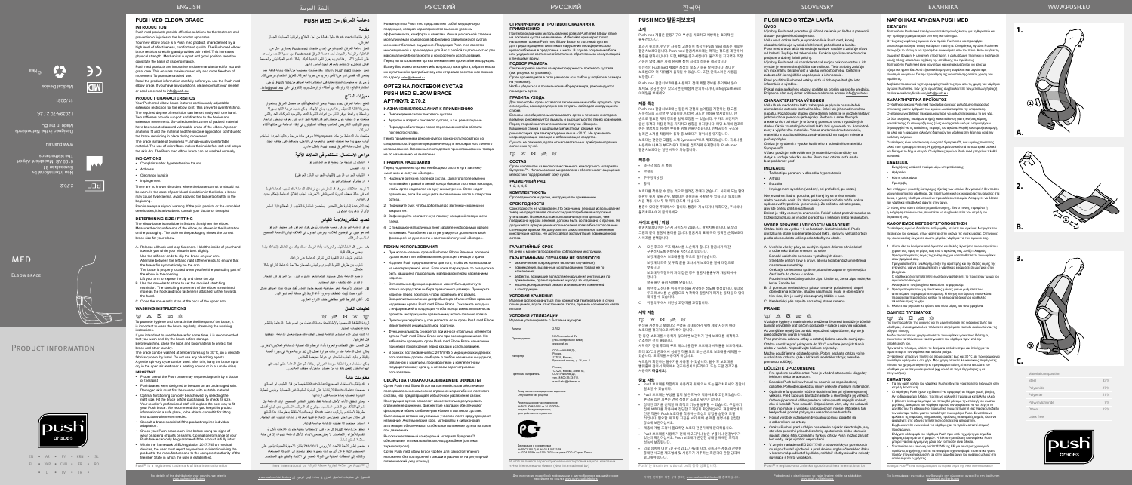EN • AR • PY • KRN • SL EL • YKP • CHN • FR • RO • LT • LV • TR •

#### Nea International bv Europalaan 31 6199 AB Maastricht-Airport **De Netherlands**





**CR** ©Nea Medical Device

2.70.2

# **MED** ELBOW BRACE

# PRODUCT INFORMATION



الفاعلية، والراحة والجودة. تُـحد دعامة المرفق Push med من عملية التمدد، وتساعد ُ على تسكين االلم. وهذا بدوره يعزز القوة البدنية لديك. يشكل الدعم الميكانيكي والضغط القابل للتعديل واالحتفاظ بالموقع الجيد أساس أدائها.

www.push.eu

Designed in the Netherlands Made in the EU

#### I 2039A-70 2 / 2A



تتميز منتجات Push med بالابتكار وقد صُنعت خصيصاً من أجلك بعناية فائقة. مما يضمن لك أقصىي قدر من الأمن ومزيد من حرية الحركة. لتعزيز استخدام مرضي لك. ُيرجى قراءة معلومات المنتج بعناية قبل استخدام دعامة المرفق منmed Push ُ . يرجي

استشارة البائع؛ إذا راودتك أي أسئلة، أو إرسال بريد إلكتروني على info@push.eu.

| Material composition |     |
|----------------------|-----|
| Steel                | 33% |
| Polyamide            | 27% |
| Polyester            | 21% |
| Polyvinylchloride    | 7%  |
| Others               | 12% |
| Latex free           |     |



ιειες σχετικά με τον διανομέα στη χώρα σας, ανατρέξτε στη διεύθυν<br>στα στα παλλα στο παλαγουση αποτελεία παιαστελεία

**1.**

**A.**

**B.**

**C.**

Latex

**2.**







**3.**

Mater

# **دعامة المرفق من MED PUSH**

تتمتع دعامة المرفق Push med بمميز ات تجعلها تُقيد مد مفصل المرفق باستمر ار وبطريقة قابلة للتعديل. وهذا بدوره يمنع اإلنهاك. يمكن ضبط درجة التقيد بسهولة بواسطة يد واحدة. يوفر اثنان من أدوات التقوية الدعم والتوجيه لحركات المد والثني. صُنعت مواد مبطنة حول مناطق المرفق القابلة للجرح، والتي تُعرف بمناطق الراحة. يسهم التركيب التشريحي المناسب وبطانة السيليكون في إبقاء الدعامة في مكانها أثناء الحركة.

**مقدمة** توفر منتجات med Push حلول فعالة من أجل العالج والوقاية إلصابات الجهاز الحركي. تتميز دعامة المرفق الجديدة وهي إحدى منتجات med Push ِ بمستوى عال من

صَنعت هذه الدعامة من مادة Sympress™، و هي مادة مريحة وعالية الجودة. تُستخدم ألياف مجهرية؛ مما تمنحك الشعور بالنعومة في الداخل، وتحافظ على جفاف الجلد. يمكن غسل دعامة المرفق med Push بشكل عادي.

يُعد الألم عادة إشارة على التحذير. يُستحسن استشارة الطبيب أو المعالج؛ إذا استمر األلم أو تدهورت الشكوى.

. حرر كل الخطاطيف والعروات بأداة الربط. امسك يدك من الداخل بإتجاهك بينما ينحني مر فقك قليلاً .

#### **مميزات المنتج**

- $\boxtimes$   $\boxtimes$   $\boxtimes$   $\boxtimes$   $\boxtimes$
- لزيادة النظافة الشخصية وإلطالة مدة خدمة الدعامة، من المهم غسل الدعامة بانتظام واتباع تعليمات غسلها.
- إذا كنت تنوي عدم استخدام الدعامة لبعض الوقت، فنوصيك بغسل الدعامة وتجفيفها قبل تخزينها.
- قبل الغسل أغلق الخطاف والعروة بأداة الربط وذلك لحماية الدعامة والملابس الأخرى. يمكن غسل الدعامة عند درجات حرارة تصل إلى 30 درجة مئوية في دورة أقمشة رقيقة أو باليد. تجنب استخدام أي عوامل مبيضة للمالبس.
- يمكن استخدام دورة لطيفة سريعة الدوران وجافة، ثم علق الدعامة حتى تجف في الهواء الطلق )**ليس** بالقرب من مصدر ساخن أو مجفف المالبس(.

#### **دواعي االستعمال: تستخدم في الحاالت اآلتية**

- الشكاوى الناتجة من رضح فرط المد للمرفق
- داء الفصال
- التهاب الجراب الزجي )التهاب الجراب الناتئ المرفقي( ارتطام أو اصطدام المرفق

- قد يتطلب الاستخدام الصحيح لدعامة Push تشخيصاً من قبل الطبيب أو المعالج. صممت دعامات Push الرتدائها على البشرة السليمة غير المصابة. وينبغي تغطية
- البشرة المصابة بمادة مناسبة قبل ارتدائها.
- يمكن تحقيق األداء األمثل للدعامة فقط باختيار المقاس الصحيح. ارتد الدعامة قبل شرائها لتتأكد من المقاس المناسب. سيشرح لك الموظف المختص لدى البائع أفضل طريقة الستخدام وتركيب دعامة Push. نوصيك باالحتفاظ بمعلومات هذا المنتج
- في مكان آمن؛ حتى تتمكن من االطالع عليها لمعرفة إرشادات التثبيت عند الحاجة. ً استشر مختصا إذا تطلبت الدعامة مواءمة فردية.
- تحقق من دعامة Push كل مرة قبل االستخدام؛ خشية حدوث عالمات تآكل أو تقادم لألجزاء واللحامات. ال يمكن ضمان األداء األمثل لدعامة Push؛ إال في حالة
- سلامة المنتج تماماً. ضمن إطار الئحة االتحاد األوروبي 745/2017 بشأن األجهزة الطبية؛ يتعين على المستخدم اإلبالغ عن أي حوادث خطيرة تتعلق بالمنتج إلى الشركة المصنعة، وكذلك إلى السلطات المعنية في الدولة العضو في االتحاد والمقيم فيها المستخدم.

ال توجد اعتالالت معروفة قد تتعارض مع ارتدائك للدعامة. قد تسبب الدعامة فرط الدم في حالة ضعف الدورة الدموية في الأطراف. تجنب إغلاق الدعامة بإحكام شديد في البداية.

#### **تحديد المقاس/مالءمة القياس**

ُ تتوافر دعامة المرفق في خمسة مقاسات. يرجى فرد المرفق. قس محيط المرفق كما هو مبين في توضيح الغالف. يعرض الجدول في الغالف قياس الدعامة الصحيح المناسب لمرفقك.

> Россия,<br>127015, Москва, Бумажный проезд, д. 14, стр. 2.

> > Россия,<br>127220, Москва, а/я № 58, ООО «НИКАМЕД», тел.: 8-800-33-33-112, e-mail: skk@nikamed.ru

Регистрационное удостоверение<br>№ ФСЗ 2009/04856 от 14.10.2016 г. выдано Росздравнадзором, срок действия не ограничен



استخدم طرف أداة التقوية لكي تنزلق الدعامة على ذراعك. تناوب بين طرفي التقوية اليسرى واليمنى، لضمان مالءمة الدعامة للذراع بشكل

متماثل. توضع الدعامة بشكل صحيح عندما تشعر بالجزء البارز من المرفق في الفتحة.

- ارفع ذراعك لكشف وغلق السحاب. . ٌ استخدم األشرطة الغير مطاطية لضبط حدود التمدد. تقيد حركة تمدد المرفق بشكل
	- ُ أكبر، حيث يثبت الخطاف وعروة أداة الربط إلى مسافة أبعد نحو اليد.
	- . أغلق الشريط الغير مطاطي خلف الذراع العلوي.

гивопоказаний к использованию ортеза Push med Elbow Brace на локтевой сустав не выявлено. Избегайте чрезмерно тугого наложения ортеза Push med Elbow Brace на локтевой сустав для предотвращения симптомов нарушения периферического кровоснабжения в предплечье и кисти. В случае сохранения боли или ухудшения состояния обязательно обратитесь за консультацией к лечащему врачу.

## **تعليمات الغسل**

## **معلومات هامة**

- Наденьте ортез на локтевой сустав. Для этого попеременно натягивайте правый и левый концы боковых локтевых накладок, чтобы ортез надевался на руку симметрично. Ортез надет правильно, если Вы ощущаете выпячивание локтя в отверстии ортеза.
- 2. Поднимите руку, чтобы добраться до застежки-«молнии» и Зафиксируйте неэластичную повязку на задней поверхности
- плеча.
- 4. С помощью неэластичных лент задайте необходимый предел натяжения. Разгибание локтя регулируется дополнительной фиксацией на руке ленты с застежкой‑липучкой «Велкро».

**ГАРАНТИЙНЫЙ СРОК** 90 дней с момента продажи при соблюдении инструкции.

## **ГАРАНТИЙНЫМИ СЛУЧАЯМИ НЕ ЯВЛЯЮТСЯ**

• механические повреждения (включая случайные); • повреждения, вызванные использованием товара не по

назначению; • дефекты, возникшие вследствие нарушения инструкции по применению, правил хранения и ухода за изделием; • несанкционированный ремонт или внесение изменений

в конструкцию.

#### **УСЛОВИЯ ХРАНЕНИЯ**

Изделие должно храниться при комнатной температуре, в сухих помещениях, вдали от источников тепла, прямого солнечного света и пыли.

#### **УСЛОВИЯ УТИЛИЗАЦИИ**

Изделие утилизировать с бытовым мусором. Артикул 2.70.2

Производитель NEA International BV (НЕА Интернешнл БиВи) www.push.eu

Импортер ООО «НИКАМЕД»,

Претензии направлять

Декларация о соответствии<br>№ РОСС RU Д-NL.НА38.В.00132/19<br>(с 02.04.2019 г. по 01.04.2022 г.) выдана ООО «Сервис Плюс»

Товар является медицинским изделием Отпускается без рецепта

Push® является зарегистрированной торговой маркой компании «Неа Интернешнл биви» (Nea International bv)

#### **ОГРАНИЧЕНИЯ И ПРОТИВОПОКАЗАНИЯ К ПРИМЕНЕНИЮ**

#### **ПОДБОР РАЗМЕРА**

Сантиметровой лентой измеряют окружность локтевого сустава (см. рисунок на упаковке). Ортез производится в пяти размерах (см. таблицу подборов размера

> $M$   $X$   $\boxtimes$   $\cong$   $X$ 위생을 개선하고 보호대의 수명을 최대화하기 위해 세탁 지침에 따라 보호대를 정기적으로 세탁해야 합니다.

на упаковке). Чтобы убедиться в правильном выборе размера, рекомендуется примерить ортез.

#### **ПРАВИЛА УХОДА**

Для того чтобы ортез оставался гигиеничным и чтобы продлить срок его службы, важно регулярно его стирать, соблюдая инструкции по стирке.

Если вы не собираетесь использовать ортез в течение некоторого времени, рекомендуется вымыть и высушить ортез перед хранением. Перед стиркой застегните застежки-липучки «Велкро». Машинная стирка в щадящем (деликатном) режиме или ручная стирка при температуре не выше +30°C. Не применять

хлорсодержащие моющие и отбеливающие средства. Сушить не отжимая, вдали от нагревательных приборов и прямых солнечных лучей.

 $\boxtimes \hspace{0.1cm} \boxtimes \hspace{0.1cm} \boxtimes \hspace{0.1cm} \boxtimes \hspace{0.1cm} \boxtimes \hspace{0.1cm} \boxtimes \hspace{0.1cm} \boxtimes$ 

#### **СОСТАВ**

Pred použitím Push med ortézy lakťa si dobre preštudujte tieto informácie o výrobku.

Ортез изготовлен из высококачественного комфортного материала Sympress™. Использование микроволокон обеспечивает ощущение мягкости и поддерживает кожу сухой.

#### **РАЗМЕРНЫЙ РЯД**

1, 2, 3, 4, 5

#### **КОМПЛЕКТНОСТЬ**

Ортопедическое изделие, инструкция по применению.

#### **СРОК ГОДНОСТИ**

.<br>Ortéza je vyrobená z vysoko kvalitného a pohodlného materiálu Sympress™.

Срок годности не установлен. По окончании периода использования товар не представляет опасности для потребителя и подлежит утилизации. Возможность использования ортеза дольше, чем предписано курсом лечения, должна быть согласована с врачом. Не допускается прекращение использования ортеза без согласования с лечащим врачом. Не допускается самостоятельное изменение конструкции ортеза. Не допускается эксплуатация поврежденного ортеза.

Новые ортезы Push med представляют собой медицинскую продукцию, которая характеризуется высоким уровнем эффективности, комфорта и качества. Фиксация сильной степени и регулируемая компрессия эффективно стабилизируют сустав и снижают болевые ощущения. Продукция Push med является инновационной и произведена для Вас с особой тщательностью для максимальной безопасности и комфортного использования.

Перед использованием ортеза внимательно прочитайте инструкцию. Если у Вас имеются какие-либо вопросы, пожалуйста, обратитесь за консультацией к дистрибьютору или отправьте электронное письмо по адресу sales@nikamed.ru

## **ОРТЕЗ НА ЛОКТЕВОЙ СУСТАВ PUSH MED ELBOW BRACE АРТИКУЛ: 2.70.2**

#### **НАЗНАЧЕНИЕ/ПОКАЗАНИЯ К ПРИМЕНЕНИЮ**

- Повреждения связок локтевого сустава. • Артрозы и артриты локтевого сустава, в т.ч. ревматоидные.
- Период реабилитации после переломов костей в области локтевого сустава.

Перед применением рекомендуется проконсультироваться со специалистом. Изделие предназначено для многократного личного использования. Возможные последствия при использовании товара не по назначению не выявлены.

> Bandáže Push boli navrhnuté na nosenie na nepoškodene pokožke. Poškodenú pokožku najprv prekryte vhodným materiálom. • Optimálne fungovanie môžete dosiahnuť len pri výbere správnej veľkosti. Pred kúpou si bandáž nasaďte a skontrolujte jej veľkosť. Odborný personál vášho predajcu vám vysvetlí najlepší spôsob, ako si bandáž Push nasadiť. Odporúčame vám, aby ste uchovali tieto informácie o výrobku na bezpečnom mieste. Môžete si tak kedykoľvek pozrieť pokyny na nasadzovanie bandáže. • Pokiaľ výrobok vyžaduje individuálnu úpravu, poraďte sa

#### **ПРАВИЛА НАДЕВАНИЯ**

Перед надеванием ортеза необходимо расстегнуть застежку «молнию» и липучки «Велкро».

закрыть ее.

Ο νέος σας νάρθηκας αγκώνα είναι προϊόν Push med και προσφέρε αποτελεσματικότητα, άνεση και άριστη ποιότητα. Ο νάρθηκας αγκώνα Push med περιορίζει το τέντωμα και προσφέρει ανακούφιση από τον πόνο. Αυτό αυξάνει τη σωματική δύναμη. Η μηχανική υποστήριξη, η ρυθμιζόμενη πίεση και η διατήρηση

#### **РЕЖИМ ИСПОЛЬЗОВАНИЯ**

Διαβάστε προσεκτικά τις πληροφορίες προϊόντος πριν από τη χρήση του νάρθηκα αγκώνα Push med. Εάν έχετε ερωτήσεις, συμβουλευτείτε τον μεταπωλητή σας ή

#### ENGLISH العربية اللغة WWW.PUSH.EU SLOVENSKY

- При использовании ортеза Push med Elbow Brace на локтевой сустав может потребоваться консультация лечащего врача.
- Изделия Push предназначены для того, чтобы их использовали на неповрежденной коже. Если кожа повреждена, то она должна быть защищена подходящим материалом перед надеванием изделия.
- Оптимальное функционирование может быть достигнуто только посредством выбора правильного размера. Примерьте изделие перед покупкой, чтобы проверить его размер. Специалисты компании-дистрибьютора объяснят Вам правила надевания ортеза Push med Elbow Brace. Сохраните вкладыш с информацией о продукции, чтобы всегда иметь возможность прочесть инструкции по правильному использованию ортеза.
- Проконсультируйтесь у специалиста, если ортез Push med Elbow Brace требует индивидуальной подгонки.
- Функциональность снижается при износе отдельных элементов ортеза Push med Elbow Brace или при расхождении швов. Не забывайте проверять ортез Push med Elbow Brace на наличие признаков повреждения перед каждым использованием.
- В рамках постановления ЕС 2017/745 о медицинских изделиях пользователь должен сообщать о любом серьезном инциденте, связанном с изделием, производителю и компетентному государственному органу, в котором зарегистрирован пользователь.

**ΟΔΗΓΙΕΣ ΠΛΥΣΙΜΑΤΟΣ**  $\boxtimes \hspace{0.1cm} \boxtimes \hspace{0.1cm} \boxtimes \hspace{0.1cm} \boxtimes \hspace{0.1cm} \boxtimes \hspace{0.1cm} \boxtimes \hspace{0.1cm} \boxtimes$ 

### **СВОЙСТВА ТОВАРА/ОКАЗЫВАЕМЫЕ ЭФФЕКТЫ**

Ортез Push med Elbow Brace на локтевой сустав обеспечивает последовательное изменение ограничения разгибания локтевого сустава, что предотвращает избыточное растяжение связок. Конструкция ортеза позволяет самостоятельно регулировать ограничение движения. Две жесткие накладки обеспечивают фиксацию и объем сгибания-разгибания в локтевом суставе. Смягчающие вставки на уязвимых участках локтя предупреждают натирание. Анатомический крой, материалы и силиконовая аппликация обеспечивают стабильное положение ортеза на локте при движениях.

Высококачественный комфортный материал Sympress™ обеспечивает оптимальный влаго-воздухообмен (система термоконтроля).

Ортез Push med Elbow Brace удобен для самостоятельного наложения без посторонней помощи и рассчитан на регулярный гигиенический уход (стирку).

# РУССКИЙ РУССКИЙ

## **PUSH MED 팔꿈치보호대**

**소개** Push med 제품은 운동기구의 부상을 치료하고 예방하는 효과적인 솔루션입니다.

효과가 좋으며, 편안한 사용법, 고품질이 특징인 Push med 제품은 새로운 팔꿈치보호대입니다. Push med 팔꿈치보호대는 펴지는 정도를 제한하여 통증을 완화시킵니다. 또한, 체력을 증가시킵니다. 물리적인 지지력과 조정

가능한 압력, 좋은 자세 유지를 통해 최적의 성능을 제공합니다. 혁신적인 Push med 제품은 최상의 보조 기능을 발휘합니다. 최대한 보호받으며 더 자유롭게 움직일 수 있습니다. 또한, 만족스러운 사용을 보장합니다.

Push med 팔꿈치보호대를 사용하기 전에 제품 정보를 주의해서 읽어 보세요. 궁금한 점이 있으시면 판매점에 문의하시거나, info@push.eu로 이메일을 보내세요.

#### **제품 특성**

Push med 팔꿈치보호대는 팔꿈치 관절의 늘어짐을 제한하는 정도를 지속적으로 조정할 수 있습니다. 따라서 과도한 펴짐을 방지합니다. 한 손으로 필요한 제약 정도를 쉽게 조정할 수 있습니다. 두 개의 보강재가 굴신 동작과 펴짐 동작을 지지하고 방향을 유지합니다. 패딩 소재의 컴포트 존은 팔꿈치의 취약한 부위를 위해 만들어졌습니다. 인체공학적 구조와 실리콘 소재를 적용하여 동작 중 보호대가 정위치를 유지합니다.

보호대는 편안한 고품질 소재 Sympress™으로 제조되었습니다. 극세사를 사용하여 내부가 부드러우며 피부를 건조하게 유지합니다. Push med 팔꿈치보호대는 일반 세탁이 가능합니다.

#### **적응증**

- 과신장 외상 후 통증
- 관절증
- 주두점액낭염
- 충격

보호대를 착용할 수 없는 것으로 알려진 장애가 없습니다. 사지에 도는 혈액 순환이 좋지 않을 경우, 보호대는 충혈증을 유발할 수 있습니다. 보호대를 처음 착용 시 너무 꽉 끼지 않도록 하십시오.

통증이 있다면 주의하셔야 합니다. 통증이 지속되거나 악화되면, 주치의나 물리치료사에게 문의하세요.

#### **사이즈 선택 / 피팅**

팔꿈치보호대에는 5가지 사이즈가 있습니다. 팔꿈치를 폅니다. 포장의 그림과 같이 팔꿈치 둘레를 잽니다. 팔꿈치의 표에 따라 정확한 손목보호대 사이즈를 선택합니다.

- A. 모든 후크와 루프 패스너를 느슨하게 합니다. 팔꿈치가 약간 구부러지도록 손바닥을 자신으로 향합니다. 보강재 끝에서 보호대를 팔 쪽으로 밀어 넣습니다. 보강재의 좌측 및 우측 끝을 교차시켜 보호대를 팔에 대칭으로
- 맞춥니다. 보호대가 적절하게 자리 잡은 경우 팔꿈치 돌출부가 개방되어야 합니다.
- 팔을 들어 올려 지퍼를 닫습니다. B. 비탄성 고정띠를 이용한 펴짐을 제약하는 정도를 설정합니다. 후크와 - THS 그냥 THS LETTING THE SIZE ESS TITLE THE THING THE THING THE THING THE THING THE THING THE THING THE THING <br>- 루프 패스너를 손 방향으로 부착하여 팔꿈치가 펴지는 동작을 더 많이
- 제약할 수 있습니다. C. 위팔의 뒤에서 비탄성 고정띠를 고정합니다.

#### **세탁 지침**

한 동안 보호대를 사용하지 않으려면 보관하기 전에 보호대를 세척하고 건조하는 것이 좋습니다.

세탁하기 전에 후크와 루프 패스너를 잠궈 보호대와 세탁물을 보호하세요. 최대 30°C의 온도에서 섬세한 직물 모드 또는 손으로 보호대를 세탁할 수

있습니다. 표백제를 사용하지 마십시오. 부드럽게 회전하는 탈수기를 사용할 수 있습니다. 탈수 후 보호대를

빨랫줄에 걸어서 옥외에서 건조하십시오(드라이기 또는 드럼 건조기를 사용하지 **마십시오**).

#### **중요 사항**

- Push 보호대를 적합하게 사용하기 위해 의사 또는 물리치료사의 진단이 필요할 수 있습니다.
- Push 보호대는 부상을 입지 않은 피부에 착용하도록 고안되었습니다. 부상을 입은 피부는 먼저 적절한 소재로 덮어야 합니다.
- 정확한 크기를 선택할 때 최적의 기능을 발휘할 수 있습니다. 구입하기 전에 보호대를 착용하여 정당한 크기인지 확인하십시오. 재판매업체의 전문 직원이 Push 보호대를 착용하는 최상의 방법을 설명해 드릴 것입니다. 필요할 때 피팅 지침을 보기 위해 본 제품 설명서를 안전한 장소에 보관하십시오.
- 제품의 개별 조정이 필요하면 보호대 전문가에게 문의하십시오.
- Push 보호대를 사용하기 전에 마모되거나 낡은 부품이나 연결부위가 있는지 확인하십시오. Push 보호대가 온전한 상태일 때에만 최적의 성능이 보장됩니다.
- 의료 장치에 대한 EU 규정 2017/745에 따라, 사용자는 제품과 관련된 중대한 사고를 제조업체 및 사용자가 거주하는 회원국의 관할 당국에 보고해야 합니다.

한국어

#### **PUSH MED ORTÉZA LAKŤA ÚVOD**

## Výrobky Push med predstavujú účinné riešenie pri liečbe a prevencii

Member State in which the user is established. Push<sup>®</sup> is a registered trademark of Nea International by

of the distributor in your country, we refer to

úrazov pohybového ústrojenstva. Vaša nová ortéza lakťa je výrobkom línie Push med, ktorej charakteristikou je vysoká efektívnosť, pohodlnosť a kvalita. Push med ortéza lakťa obmedzuje svalové napätie a zaisťuje úľavu od bolesti. Zvyšuje tak telesnú silu. Funkcia spočíva v mechanickej podpore a dobrej fixácii polohy.

Výrobky Push med sú charakteristické svojou pokrokovosťou a ich výrobe je venovaná najväčšia starostlivosť. Tieto atribúty zaisťujú ich maximálnu bezpečnosť a väčšiu voľnosť pohybu. Cieľom je zabezpečiť čo najväčšie uspokojenie z ich nosenia.

Pokiaľ máte akékoľvek otázky, obráťte sa prosím na svojho predajcu. Prípadne nám svoj dotaz pošlite e-mailom na adresu info@push.eu.

#### **CHARAKTERISTIKA VÝROBKU**

Vaša Push med ortéza lakťa zabezpečuje plynule nastaviteľné obmedzenie extenzie lakťového kĺbu. Bráni tak jeho nadmernému napätiu. Požadovaný stupeň obmedzenia extenzie je možné nastaviť jednoducho a pomocou jednej ruky. Podpora a smer flexných a extenzných pohybov je určovaný pomocou dvoch vystužených dielov. Okolo zraniteľných oblastí lakťa boli vytvorené tzv. komfortné zóny z výplňového materiálu. Vďaka anatomickému tvarovaniu, materiálu a použitiu silikónu zostáva bandáž na svojom mieste aj počas pohybu.

Vďaka použitým mikrovláknam je materiál zvnútra mäkký na dotyk a udržuje pokožku suchú. Push med ortéza lakťa sa dá bez problémov prať.

#### **INDIKÁCIE**

- Ťažkosti po poranení v dôsledku hyperextenzie
- Artróza
- Burzitíta
- Impingement syndróm (vrodený, pri preťažení, po úraze)

Nie je známa žiadna porucha, pri ktorej by sa ortéza nedala alebo nesmela nosiť. Pri zlom prekrvovaní končatín môže ortéza spôsobovať hyperémiu (prekrvenie). Zo začiatku dávajte pozor, aby ste ortézu príliš neuťahovali.

Bolesť je vždy varovným znamením. Pokiaľ bolesť pretrváva alebo sa ťažkosti zhoršujú, je vhodné poradiť sa s lekárom alebo terapeutom.

### **VÝBER SPRÁVNEJ VEĽKOSTI / NASADENIE**

Ortéza lakťa sa vyrába v 5 veľkostiach. Natiahnite lakeť. Podľa obrázku na obale si odmerajte obvod lakťa. Správnu veľkosť ortézy podľa obvodu lakťa určíte podľa tabuľky na obale.

- A. Uvoľnite všetky pásy so suchým zipsom. Mierne ohnite lakeť a držte ruku dlaňou smerom ku sebe.
- Bandáž natiahnite pomocou vystužených dielov. Striedajte pri tom ľavý a pravý, aby sa bola bandáž umiestnená
- na ramene symetricky. Ortéza je umiestnená správne, akonáhle zapadne vyčnievajúca
- časť lakťa do otvoru v ortéze. Po zdvihnutí končatiny uvidíte zips. Uistite sa, že sa zips nedotýka
- kože. Zapnite ho. B. S pomocou neelastických pásov nastavte požadovaný stupeň
- obmedzenia extenzie. Stupeň natiahnutia svalu je obmedzený tým viac, čím je suchý zips zapnutý bližšie k ruke.
- C. Neelastický pás zapnite na zadnej strane ramena. **PRANIE**

 $\boxdot$   $\boxtimes$   $\boxtimes$   $\boxtimes$ 

V záujme hygieny a maximálneho predĺženia životnosti bandáže je dôležité bandáž pravidelne prať, pričom postupujte v súlade s pokynmi na pranie. Ak zamýšľate nejaký čas bandáž nepoužívať, odporúčame, aby ste ju

pred odložením vyprali a vysušili.

Pred praním na ochranu ortézy a ostatnej bielizne uzavrite suchý zips. Ortéza sa môže prať pri teplote do 30°C v režime jemných tkanín

alebo v rukách. Nepoužívajte bieliace prípravky.

Podrobnosti o distribútorovi vo vašej krajine zistíte na stránkách<br>www.push.eu/distributors

Možno použiť jemné odstreďovanie. Potom nechajte ortézu voľne uschnúť na vzduchu (**nie** v blízkosti tepelného zdroja; nesušte

pomocou sušičky).

**DÔLEŽITÉ UPOZORNENIE**

• Pre správne použitie ortéz Push je vhodné stanovenie diagnózy

lekárom alebo terapeutom.

s odborníkom na ortézy.

• Ortézu Push si pred každým nasadením najskôr skontrolujte, aby ste včas postrehli prípadné známky opotrebenia alebo starnutia súčastí alebo šitia. Optimálnu funkciu ortézy Push možno zaručiť

len vtedy, ak je výrobok neporušený.

• V zmysle nariadenia EÚ 2017/745 o zdravotníckych pomôckach musí používateľ výrobcovi a príslušnému orgánu členského štátu, v ktorom má používateľ bydlisko, nahlásiť všetky závažné nehody

súvisiace s týmto výrobkom.

Push® e registrovaná známka spoločnosti Nea International bv

**ΝΑΡΘΗΚΑΣ ΑΓΚΩΝΑ PUSH MED**

**ΕΙΣΑΓΩΓΗ**

Τα προϊόντα Push med παρέχουν αποτελεσματικές λύσεις για τη θεραπεία και

την πρόληψη τραυματισμών στο κινητικό σύστημα.

καλής θέσης αποτελούν τη βάση της απόδοσης του προϊόντος. Τα προϊόντα Push med είναι καινοτόμα και κατασκευάζονται για εσάς με εξαιρετική φροντίδα. Αυτό εξασφαλίζει μέγιστη ασφάλεια και μεγαλύτερη ελευθερία κινήσεων. Για την προώθηση της ικανοποίησης από τη χρήση του

προϊόντος.

στείλτε e-mail στη διεύθυνση info@push.eu. **ΧΑΡΑΚΤΗΡΙΣΤΙΚΑ ΠΡΟΪΟΝΤΟΣ**

Ο νάρθηκας αγκώνα Push med προσφέρει συνεχώς ρυθμιζόμενο περιορισμό επέκτασης για την άρθρωση του αγκώνα. Αυτό αποτρέπει την υπερέκταση. Ο απαιτούμενος βαθμός περιορισμού μπορεί να ρυθμιστεί εύκολα με το ένα χέρι. Οι δύο ενισχύσεις παρέχουν στήριξη και κατεύθυνση για τις κινήσεις κάμψης και επέκτασης. Οι επονομαζόμενες ζώνες άνεσης από υλικό με ενίσχυση έχουν δημιουργηθεί για τις ευαίσθητες περιοχές του αγκώνα. Η ορθή ανατομική εφαρμογή, το υλικό και η εφαρμογή σιλικόνης διατηρούν τον νάρθηκα στη θέση του κατά την

εκτέλεση κινήσεων.

Ο νάρθηκας είναι κατασκευασμένος από Sympress™, ένα υψηλής ποιότητας υλικό που προσφέρει άνεση. Η χρήση μικροϊνών καθιστά το εσωτερικό μαλακό και διατηρεί το δέρμα στεγνό. Ο νάρθηκας αγκώνα Push med μπορεί να πλυθεί

κανονικά. **ΕΝΔΕΙΞΕΙΣ**

• Ενοχλήσεις μετά από τραύμα λόγω υπερεπέκτασης

• Αρθρίτιδα • Κύστη ωλεκράνου • Προστριβή

Δεν υπάρχουν γνωστές διαταραχές εξαιτίας των οποίων δεν μπορεί ή δεν πρέπει να χρησιμοποιείται νάρθηκας. Σε περίπτωση κακής κυκλοφορίας του αίματος στα άκρα, η χρήση νάρθηκα μπορεί να προκαλέσει υπεραιμία. Αποφύγετε να δέσετε

τον νάρθηκα υπερβολικά σφιχτά στην αρχή.

Ο πόνος είναι πάντα ένδειξη προειδοποίησης. Εάν ο πόνος παραμένει ή η ενόχληση επιδεινώνεται, συνιστάται να συμβουλευτείτε τον ιατρό ή τον

θεραπευτή σας.

**ΚΑΘΟΡΙΣΜΟΣ ΜΕΓΕΘΟΥΣ/ΤΟΠΟΘΕΤΗΣΗ**

Ο νάρθηκας αγκώνα διατίθεται σε 5 μεγέθη. Ισιώστε τον αγκώνα. Μετρήστε την περίμετρο του αγκώνα, όπως φαίνεται στην εικόνα της συσκευασίας. Ο πίνακας της συσκευασίας δείχνει το σωστό μέγεθος νάρθηκα για τον αγκώνα σας. 1. Λύστε όλα τα δεσίματα από άγκιστρα και θηλιές. Κρατήστε το εσωτερικό του χεριού σας προς το μέρος σας ενώ ο αγκώνας σας λυγίζει ελαφρώς. Χρησιμοποιήστε τις άκρες της ενίσχυσης για να τοποθετήσετε τον νάρθηκα

στον βραχίονά σας.

Πραγματοποιήστε εναλλαγή μεταξύ της αριστερής και της δεξιάς άκρης της ενίσχυσης, για να βεβαιωθείτε ότι ο νάρθηκας εφαρμόζει συμμετρικά στον

βραχίονα.

Ο νάρθηκας έχει τοποθετηθεί σωστά εάν αισθάνεστε το προεξέχον τμήμα του

αγκώνα στο άνοιγμα.

Ανασηκώστε τον βραχίονα και κλείστε το φερμουάρ. 2. Χρησιμοποιήστε τους μη ελαστικούς ιμάντες για να ρυθμίσετε τον απαιτούμενο περιορισμό τεντώματος. Η κίνηση τεντώματος του αγκώνα περιορίζεται περισσότερο καθώς το δέσιμο από άγκιστρα και θηλιές

πλησιάζει προς το χέρι.

3. Κλείστε τον μη ελαστικό ιμάντα στο πίσω μέρος του άνω βραχίονα.

Για την προώθηση της υγιεινής και τη μεγιστοποίηση της διάρκειας ζωής του νάρθηκας, είναι σημαντικό να πλένετε τα στηρίγματα τακτικά, ακολουθώντας τις

οδηγίες πλύσης.

Αν δεν σκοπεύετε να χρησιμοποιήσετε τον νάρθηκα για κάποιο διάστημα, συνιστάται να πλύνετε και να στεγνώσετε τον νάρθηκα πριν από την

αποθήκευσή του.

Πριν από το πλύσιμο, κλείστε τα δεσίματα από άγκιστρα και θηλιές για να

προστατέψετε τον νάρθηκα και τα άλλα ρούχα.

Ο νάρθηκας μπορεί να πλυθεί σε θερμοκρασίες έως και 30°C, σε πρόγραμμα για ευαίσθητα υφάσματα ή στο χέρι. Μην χρησιμοποιείτε λευκαντικούς παράγοντες. Μπορεί να χρησιμοποιηθεί ήπιο πρόγραμμα πλύσης: έπειτα, απλώστε τον νάρθηκα για να στεγνώσει φυσικά (**όχι** κοντά σε πηγή θερμότητας ή σε

στεγνωτήριο). **ΣΗΜΑΝΤΙΚΟ**

• Για την ορθή χρήση του νάρθηκα Push ενδέχεται να απαιτείται διάγνωση από

ιατρό ή θεραπευτή.

• Οι νάρθηκες Push έχουν σχεδιαστεί για εφαρμογή σε δέρμα χωρίς βλάβες. Αν το δέρμα φέρει βλάβες, πρέπει να καλυφθεί πρώτα με κατάλληλο υλικό. • Η βέλτιστη λειτουργία μπορεί να επιτευχθεί μόνο με την επιλογή του σωστού μεγέθους. Δοκιμάστε τον νάρθηκα προτού τον αγοράσετε για να ελέγξτε το μέγεθός του. Το ειδικευμένο προσωπικό του μεταπωλητή σας θα σας υποδείξει τον καλύτερο τρόπο για την τοποθέτηση του νάρθηκα Push. Συνιστάται να φυλάξετε τις παρούσες πληροφορίες προϊόντος σε ασφαλές σημείο, ώστε να ανατρέχετε στις οδηγίες τοποθέτησης όποτε είναι απαραίτητο. • Συμβουλευτείτε έναν ειδικό για νάρθηκες αν το προϊόν απαιτεί ατομική

προσαρμογή.

• Ελέγχετε κάθε φορά τον νάρθηκα Push πριν από τη χρήση για σημάδια φθοράς εξαρτημάτων ή ραφών. Η βέλτιστη απόδοση του νάρθηκα Push μπορεί να είναι εγγυημένη μόνο εάν το προϊόν είναι άθικτο. • Στο πλαίσιο του κανονισμού 2017/745 της ΕΕ για τα ιατροτεχνολογικά προϊόντα, ο χρήστης πρέπει να αναφέρει τυχόν σοβαρά περιστατικά για το προϊόν στον κατασκευαστή και στην αρμόδια αρχή του κράτους μέλους στο

οποίο εδρεύει ο χρήστης.

Το σήμα Push® είναι καταχωρισμένο εμπορικό σήμα της Nea International bv

ΕΛΛΗΝΙΚΆ

**PUSH MED ELBOW BRACE**

**INTRODUCTION**

Push med products provide effective solutions for the treatment and

prevention of injuries of the locomotor apparatus.

Your new elbow brace is a Push med product, characterised by a high level of effectiveness, comfort and quality. The Push med elbow brace restricts stretching and provides pain relief. This increases physical strength. Mechanical support and good position retention

constitute the basis of its performance.

-<br>movement. To promote satisfied use.

Push med products are innovative and are manufactured for you with great care. This ensures maximum security and more freedom of

Read the product information carefully before you use the Push med elbow brace. If you have any questions, please consult your reseller

or send an e-mail to info@push.eu. **PRODUCT CHARACTERISTICS**

Your Push med elbow brace features continuously adjustable extension restriction for the elbow joint. This prevents overstretching The required degree of restriction can be set easily with one hand. Two stiffeners provide support and direction to the flexion and extension movements. So-called comfort zones of padded material have been created around vulnerable areas of the elbow. A proper anatomic fit and the material and the silicone application contribute to

the brace remaining in place during movement.

The brace is made of Sympress™, a high-quality comfortable material. The use of microfibres makes the inside feel soft and keeps the skin dry. The Push med elbow brace can be washed normally.

**INDICATIONS**

• Complaints after hyperextension trauma

• Arthrosis • Olecranon bursitis • Impingement

There are no known disorders where the brace cannot or should not be worn. In the case of poor blood circulation in the limbs, a brace may cause hyperaemia. Avoid applying the brace too tightly in the beginning.

Pain is always a sign of warning. If the pain persists or the complaint deteriorates, it is advisable to consult your doctor or therapist.

#### **DETERMINING SIZE / FITTING**

The elbow brace is available in 5 sizes. Straighten the elbow. Measure the circumference of the elbow, as shown in the illustration on the packaging. The table on the packaging shows the correct brace size for your elbow.

- A. Release all hook and loop fasteners. Hold the inside of your hand towards you while your elbow is bent slightly
- Use the stiffener ends to slip the brace on your arm. Alternate between the left and right stiffener ends, to ensure that the brace fits symmetrically on the arm. The brace is properly located when you feel the protruding part of
- the elbow in the opening. Lift your arm to expose the zip and close the zip.
- B. Use the non-elastic straps to set the required stretching restriction. The stretching movement of the elbow is restricted more as the hook and loop fastener is attached further towards the hand.

C. Close the non-elastic strap at the back of the upper arm.

#### **WASHING INSTRUCTIONS**

#### $\mathbb{F}$   $\mathbb{Z}$   $\mathbb{Z}$   $\mathbb{Z}$   $\mathbb{Z}$

To promote hygiene and to maximise the lifespan of the brace, it is important to wash the brace regularly, observing the washing instructions.

If you intend not to use the brace for some time, it is recommended that you wash and dry the brace before storage. Before washing, close the hook and loop material to protect the

brace and other laundry. The brace can be washed at temperatures up to 30°C, on a delicate fabrics cycle or by hand. Do not use any bleaching agents.

A gentle spin-dry cycle can be used: after this, hang the brace up to dry in the open air (**not** near a heating source or in a tumble drier). **IMPORTANT**

• Proper use of the Push brace may require diagnosis by a doctor

or therapist.

• Push braces were designed to be worn on an undamaged skin. Damaged skin must first be covered with suitable material. • Optimal functioning can only be achieved by selecting the right size. Fit the brace before purchasing, to check its size. Your reseller's professional staff will explain the best way to fit your Push brace. We recommend that you keep this product information in a safe place, to be able to consult it for fitting

instructions whenever needed.

• Consult a brace specialist if the product requires individual

adaptation.

• Check your Push brace each time before using for signs of wear or ageing of parts or seams. Optimal performance of you Push brace can only be guaranteed if the product is fully intact. • Within the framework of EU regulation 2017/745 on medical devices, the user must report any serious incident involving the product to the manufacturer and to the competent authority of the